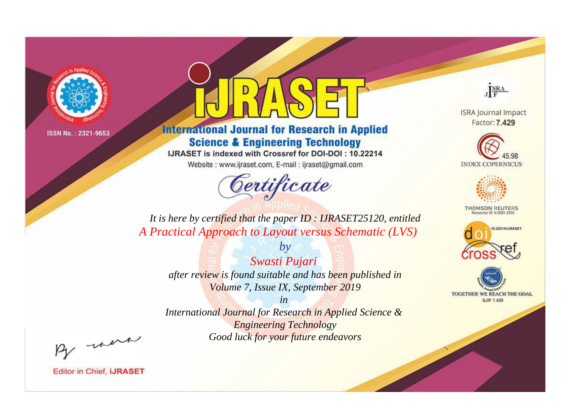

# **International Journal for Research in Applied Science & Engineering Technology**

IJRASET is indexed with Crossref for DOI-DOI: 10.22214

Website: www.ijraset.com, E-mail: ijraset@gmail.com



JERA

**ISRA Journal Impact** Factor: 7.429





**THOMSON REUTERS** 



TOGETHER WE REACH THE GOAL **SJIF 7.429** 

*It is here by certified that the paper ID : IJRASET25120, entitled A Practical Approach to Layout versus Schematic (LVS)*

> *by Swasti Pujari after review is found suitable and has been published in Volume 7, Issue IX, September 2019*

> > *in*

*International Journal for Research in Applied Science & Engineering Technology Good luck for your future endeavors*

By morn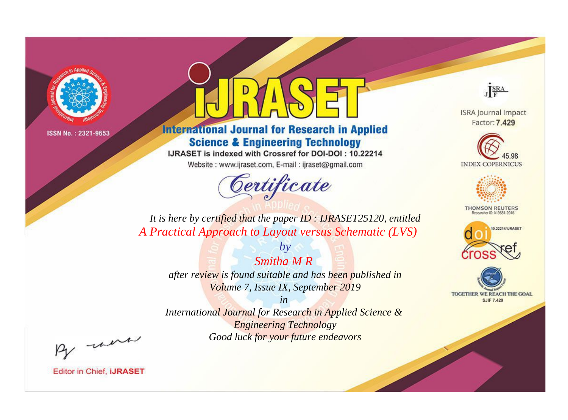

# **International Journal for Research in Applied Science & Engineering Technology**

IJRASET is indexed with Crossref for DOI-DOI: 10.22214

Website: www.ijraset.com, E-mail: ijraset@gmail.com



JERA

**ISRA Journal Impact** Factor: 7.429





**THOMSON REUTERS** 



TOGETHER WE REACH THE GOAL **SJIF 7.429** 

It is here by certified that the paper ID: IJRASET25120, entitled A Practical Approach to Layout versus Schematic (LVS)

> Smitha M R after review is found suitable and has been published in Volume 7, Issue IX, September 2019

 $b\nu$ 

 $in$ International Journal for Research in Applied Science & **Engineering Technology** Good luck for your future endeavors

By morn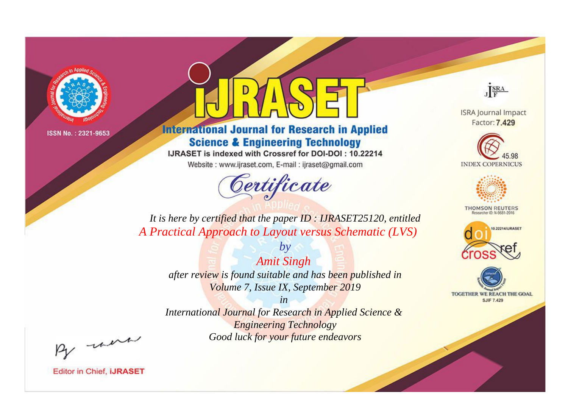

# **International Journal for Research in Applied Science & Engineering Technology**

IJRASET is indexed with Crossref for DOI-DOI: 10.22214

Website: www.ijraset.com, E-mail: ijraset@gmail.com



JERA

**ISRA Journal Impact** Factor: 7.429





**THOMSON REUTERS** 



TOGETHER WE REACH THE GOAL **SJIF 7.429** 

It is here by certified that the paper ID: IJRASET25120, entitled A Practical Approach to Layout versus Schematic (LVS)

**Amit Singh** after review is found suitable and has been published in Volume 7, Issue IX, September 2019

 $by$ 

 $in$ International Journal for Research in Applied Science & **Engineering Technology** Good luck for your future endeavors

By morn